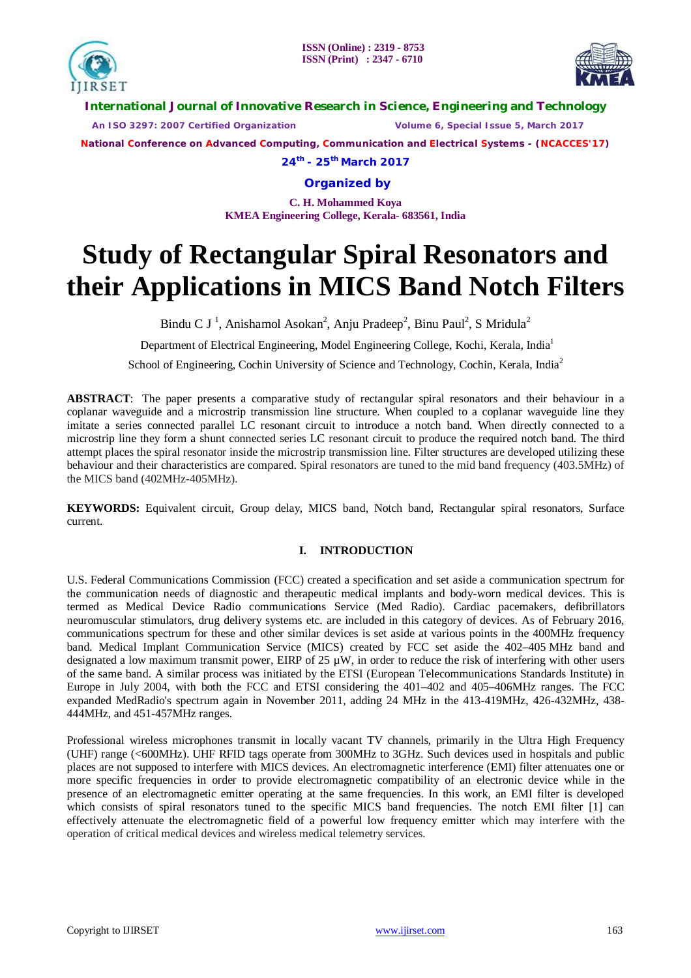



**International Journal of Innovative Research in Science, Engineering and Technology**

 *An ISO 3297: 2007 Certified Organization Volume 6, Special Issue 5, March 2017*

**National Conference on Advanced Computing, Communication and Electrical Systems - (NCACCES'17)**

**24th - 25th March 2017**

**Organized by**

**C. H. Mohammed Koya KMEA Engineering College, Kerala- 683561, India** 

# **Study of Rectangular Spiral Resonators and their Applications in MICS Band Notch Filters**

Bindu C J<sup>1</sup>, Anishamol Asokan<sup>2</sup>, Anju Pradeep<sup>2</sup>, Binu Paul<sup>2</sup>, S Mridula<sup>2</sup>

Department of Electrical Engineering, Model Engineering College, Kochi, Kerala, India<sup>1</sup>

School of Engineering, Cochin University of Science and Technology, Cochin, Kerala, India<sup>2</sup>

**ABSTRACT**: The paper presents a comparative study of rectangular spiral resonators and their behaviour in a coplanar waveguide and a microstrip transmission line structure. When coupled to a coplanar waveguide line they imitate a series connected parallel LC resonant circuit to introduce a notch band. When directly connected to a microstrip line they form a shunt connected series LC resonant circuit to produce the required notch band. The third attempt places the spiral resonator inside the microstrip transmission line. Filter structures are developed utilizing these behaviour and their characteristics are compared. Spiral resonators are tuned to the mid band frequency (403.5MHz) of the MICS band (402MHz-405MHz).

**KEYWORDS:** Equivalent circuit, Group delay, MICS band, Notch band, Rectangular spiral resonators, Surface current.

# **I. INTRODUCTION**

U.S. Federal Communications Commission (FCC) created a specification and set aside a communication spectrum for the communication needs of diagnostic and therapeutic medical implants and body-worn medical devices. This is termed as Medical Device Radio communications Service (Med Radio). Cardiac pacemakers, defibrillators neuromuscular stimulators, drug delivery systems etc. are included in this category of devices. As of February 2016, communications spectrum for these and other similar devices is set aside at various points in the 400MHz frequency band. Medical Implant Communication Service (MICS) created by FCC set aside the 402–405 MHz band and designated a low maximum transmit power, EIRP of 25  $\mu$ W, in order to reduce the risk of interfering with other users of the same band. A similar process was initiated by the ETSI (European Telecommunications Standards Institute) in Europe in July 2004, with both the FCC and ETSI considering the 401–402 and 405–406MHz ranges. The FCC expanded MedRadio's spectrum again in November 2011, adding 24 MHz in the 413-419MHz, 426-432MHz, 438- 444MHz, and 451-457MHz ranges.

Professional wireless microphones transmit in locally vacant TV channels, primarily in the Ultra High Frequency (UHF) range (<600MHz). UHF RFID tags operate from 300MHz to 3GHz. Such devices used in hospitals and public places are not supposed to interfere with MICS devices. An electromagnetic interference (EMI) filter attenuates one or more specific frequencies in order to provide electromagnetic compatibility of an electronic device while in the presence of an electromagnetic emitter operating at the same frequencies. In this work, an EMI filter is developed which consists of spiral resonators tuned to the specific MICS band frequencies. The notch EMI filter [1] can effectively attenuate the electromagnetic field of a powerful low frequency emitter which may interfere with the operation of critical medical devices and wireless medical telemetry services.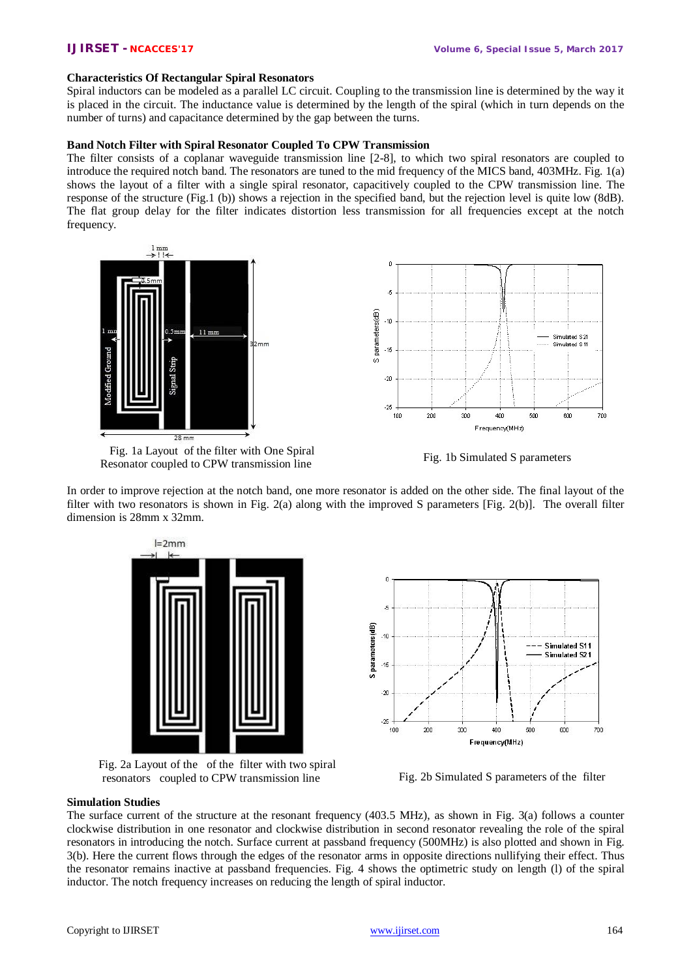### **Characteristics Of Rectangular Spiral Resonators**

Spiral inductors can be modeled as a parallel LC circuit. Coupling to the transmission line is determined by the way it is placed in the circuit. The inductance value is determined by the length of the spiral (which in turn depends on the number of turns) and capacitance determined by the gap between the turns.

# **Band Notch Filter with Spiral Resonator Coupled To CPW Transmission**

The filter consists of a coplanar waveguide transmission line [2-8], to which two spiral resonators are coupled to introduce the required notch band. The resonators are tuned to the mid frequency of the MICS band, 403MHz. Fig. 1(a) shows the layout of a filter with a single spiral resonator, capacitively coupled to the CPW transmission line. The response of the structure (Fig.1 (b)) shows a rejection in the specified band, but the rejection level is quite low (8dB). The flat group delay for the filter indicates distortion less transmission for all frequencies except at the notch frequency.



Fig. 1a Layout of the filter with One Spiral Resonator coupled to CPW transmission line Fig. 1b Simulated S parameters

In order to improve rejection at the notch band, one more resonator is added on the other side. The final layout of the filter with two resonators is shown in Fig. 2(a) along with the improved S parameters [Fig. 2(b)]. The overall filter dimension is 28mm x 32mm.



Fig. 2a Layout of the of the filter with two spiral resonators coupled to CPW transmission line Fig. 2b Simulated S parameters of the filter



#### **Simulation Studies**

The surface current of the structure at the resonant frequency (403.5 MHz), as shown in Fig. 3(a) follows a counter clockwise distribution in one resonator and clockwise distribution in second resonator revealing the role of the spiral resonators in introducing the notch. Surface current at passband frequency (500MHz) is also plotted and shown in Fig. 3(b). Here the current flows through the edges of the resonator arms in opposite directions nullifying their effect. Thus the resonator remains inactive at passband frequencies. Fig. 4 shows the optimetric study on length (l) of the spiral inductor. The notch frequency increases on reducing the length of spiral inductor.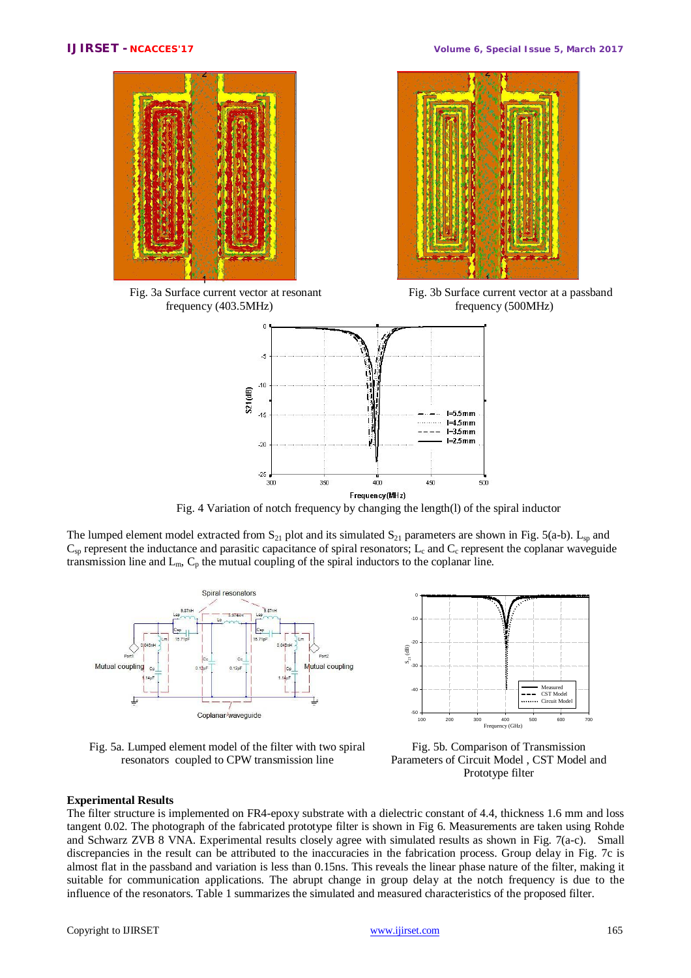

Fig. 3a Surface current vector at resonant frequency (403.5MHz)



Fig. 3b Surface current vector at a passband frequency (500MHz)



Fig. 4 Variation of notch frequency by changing the length(l) of the spiral inductor

The lumped element model extracted from  $S_{21}$  plot and its simulated  $S_{21}$  parameters are shown in Fig. 5(a-b).  $L_{sp}$  and  $C_{sp}$  represent the inductance and parasitic capacitance of spiral resonators; L<sub>c</sub> and  $C_{c}$  represent the coplanar waveguide transmission line and  $L_m$ ,  $C_p$  the mutual coupling of the spiral inductors to the coplanar line.



Fig. 5a. Lumped element model of the filter with two spiral resonators coupled to CPW transmission line



Fig. 5b. Comparison of Transmission Parameters of Circuit Model , CST Model and Prototype filter

# **Experimental Results**

The filter structure is implemented on FR4-epoxy substrate with a dielectric constant of 4.4, thickness 1.6 mm and loss tangent 0.02. The photograph of the fabricated prototype filter is shown in Fig 6. Measurements are taken using Rohde and Schwarz ZVB 8 VNA. Experimental results closely agree with simulated results as shown in Fig. 7(a-c). Small discrepancies in the result can be attributed to the inaccuracies in the fabrication process. Group delay in Fig. 7c is almost flat in the passband and variation is less than 0.15ns. This reveals the linear phase nature of the filter, making it suitable for communication applications. The abrupt change in group delay at the notch frequency is due to the influence of the resonators. Table 1 summarizes the simulated and measured characteristics of the proposed filter.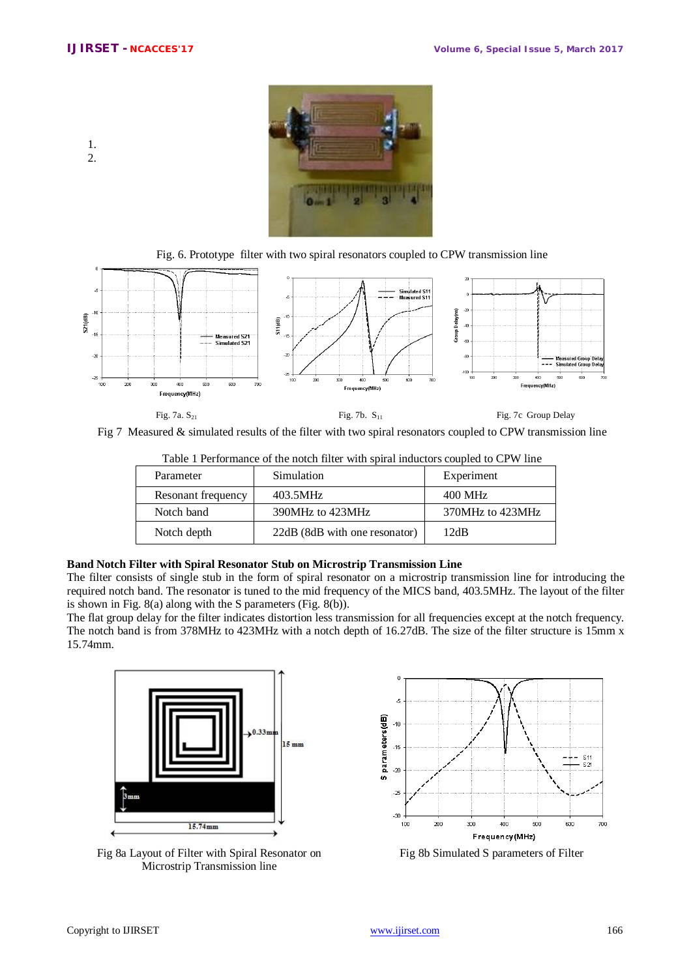1. 2.



Fig. 6. Prototype filter with two spiral resonators coupled to CPW transmission line



Fig 7 Measured & simulated results of the filter with two spiral resonators coupled to CPW transmission line

| I avie I refluimance of the hotel filter with spiral inductors coupled to Cr W filte |                               |                  |  |  |
|--------------------------------------------------------------------------------------|-------------------------------|------------------|--|--|
| Parameter                                                                            | Simulation                    | Experiment       |  |  |
| Resonant frequency                                                                   | 403.5MHz                      | 400 MHz          |  |  |
| Notch band                                                                           | 390MHz to 423MHz              | 370MHz to 423MHz |  |  |
| Notch depth                                                                          | 22dB (8dB with one resonator) | 12dB             |  |  |

Table 1 Performance of the notch filter with spiral inductors coupled to CPW line

# **Band Notch Filter with Spiral Resonator Stub on Microstrip Transmission Line**

The filter consists of single stub in the form of spiral resonator on a microstrip transmission line for introducing the required notch band. The resonator is tuned to the mid frequency of the MICS band, 403.5MHz. The layout of the filter is shown in Fig. 8(a) along with the S parameters (Fig. 8(b)).

The flat group delay for the filter indicates distortion less transmission for all frequencies except at the notch frequency. The notch band is from 378MHz to 423MHz with a notch depth of 16.27dB. The size of the filter structure is 15mm x 15.74mm.



Fig 8a Layout of Filter with Spiral Resonator on Microstrip Transmission line



Fig 8b Simulated S parameters of Filter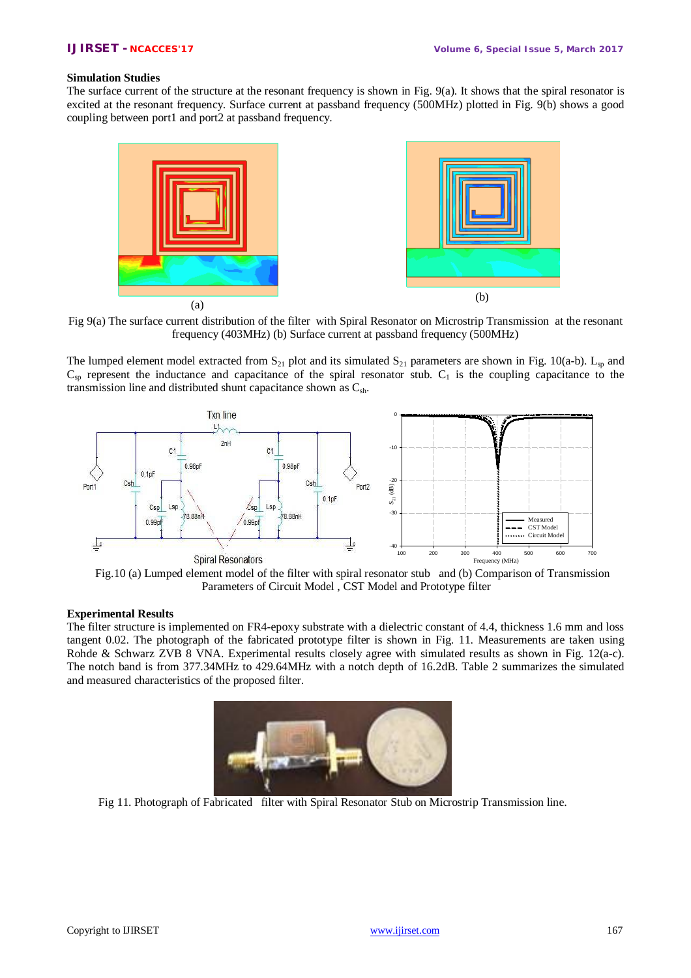### **Simulation Studies**

The surface current of the structure at the resonant frequency is shown in Fig. 9(a). It shows that the spiral resonator is excited at the resonant frequency. Surface current at passband frequency (500MHz) plotted in Fig. 9(b) shows a good coupling between port1 and port2 at passband frequency.



Fig 9(a) The surface current distribution of the filter with Spiral Resonator on Microstrip Transmission at the resonant frequency (403MHz) (b) Surface current at passband frequency (500MHz)

The lumped element model extracted from  $S_{21}$  plot and its simulated  $S_{21}$  parameters are shown in Fig. 10(a-b).  $L_{sp}$  and  $C_{sp}$  represent the inductance and capacitance of the spiral resonator stub.  $C_1$  is the coupling capacitance to the transmission line and distributed shunt capacitance shown as  $C_{\rm sh}$ .



Fig.10 (a) Lumped element model of the filter with spiral resonator stuband (b) Comparison of Transmission Parameters of Circuit Model , CST Model and Prototype filter

### **Experimental Results**

The filter structure is implemented on FR4-epoxy substrate with a dielectric constant of 4.4, thickness 1.6 mm and loss tangent 0.02. The photograph of the fabricated prototype filter is shown in Fig. 11. Measurements are taken using Rohde & Schwarz ZVB 8 VNA. Experimental results closely agree with simulated results as shown in Fig. 12(a-c). The notch band is from 377.34MHz to 429.64MHz with a notch depth of 16.2dB. Table 2 summarizes the simulated and measured characteristics of the proposed filter.



Fig 11. Photograph of Fabricated filter with Spiral Resonator Stub on Microstrip Transmission line.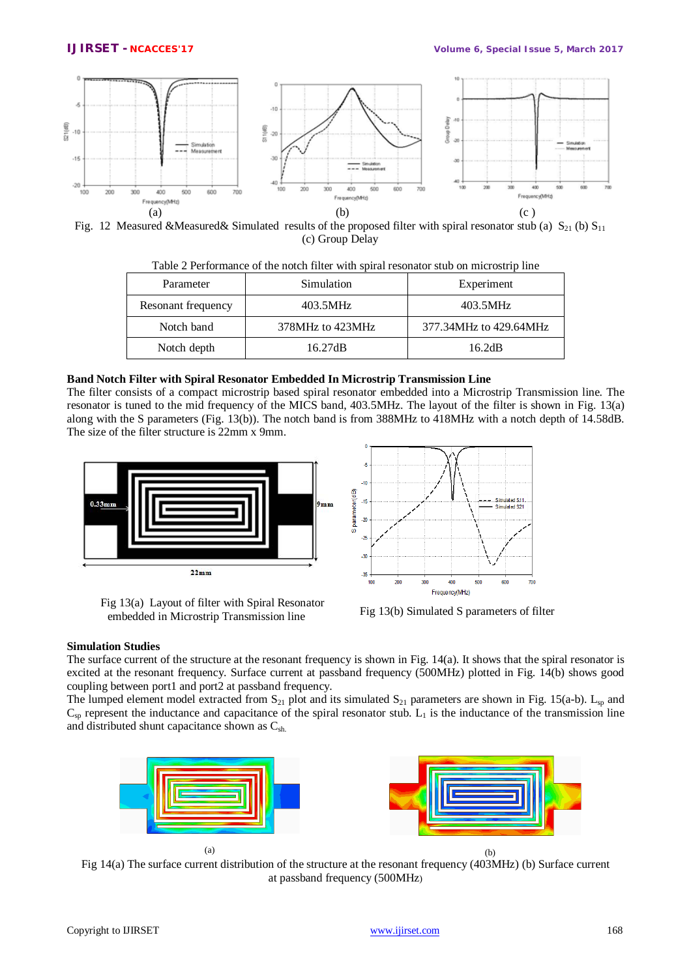

Fig. 12 Measured &Measured& Simulated results of the proposed filter with spiral resonator stub (a)  $S_{21}$  (b)  $S_{11}$ (c) Group Delay

| Parameter          | Simulation       | Experiment             |  |
|--------------------|------------------|------------------------|--|
| Resonant frequency | 403.5MHz         | 403.5MHz               |  |
| Notch band         | 378MHz to 423MHz | 377.34MHz to 429.64MHz |  |
| Notch depth        | 16.27dB          | 16.2dB                 |  |

Table 2 Performance of the notch filter with spiral resonator stub on microstrip line

### **Band Notch Filter with Spiral Resonator Embedded In Microstrip Transmission Line**

The filter consists of a compact microstrip based spiral resonator embedded into a Microstrip Transmission line. The resonator is tuned to the mid frequency of the MICS band, 403.5MHz. The layout of the filter is shown in Fig. 13(a) along with the S parameters (Fig. 13(b)). The notch band is from 388MHz to 418MHz with a notch depth of 14.58dB. The size of the filter structure is 22mm x 9mm.



Fig 13(a) Layout of filter with Spiral Resonator embedded in Microstrip Transmission line Fig 13(b) Simulated S parameters of filter



### **Simulation Studies**

The surface current of the structure at the resonant frequency is shown in Fig. 14(a). It shows that the spiral resonator is excited at the resonant frequency. Surface current at passband frequency (500MHz) plotted in Fig. 14(b) shows good coupling between port1 and port2 at passband frequency.

The lumped element model extracted from  $S_{21}$  plot and its simulated  $S_{21}$  parameters are shown in Fig. 15(a-b).  $L_{sp}$  and  $C_{sp}$  represent the inductance and capacitance of the spiral resonator stub.  $L_1$  is the inductance of the transmission line and distributed shunt capacitance shown as  $C_{sh}$ .



Fig 14(a) The surface current distribution of the structure at the resonant frequency (403MHz) (b) Surface current at passband frequency (500MHz)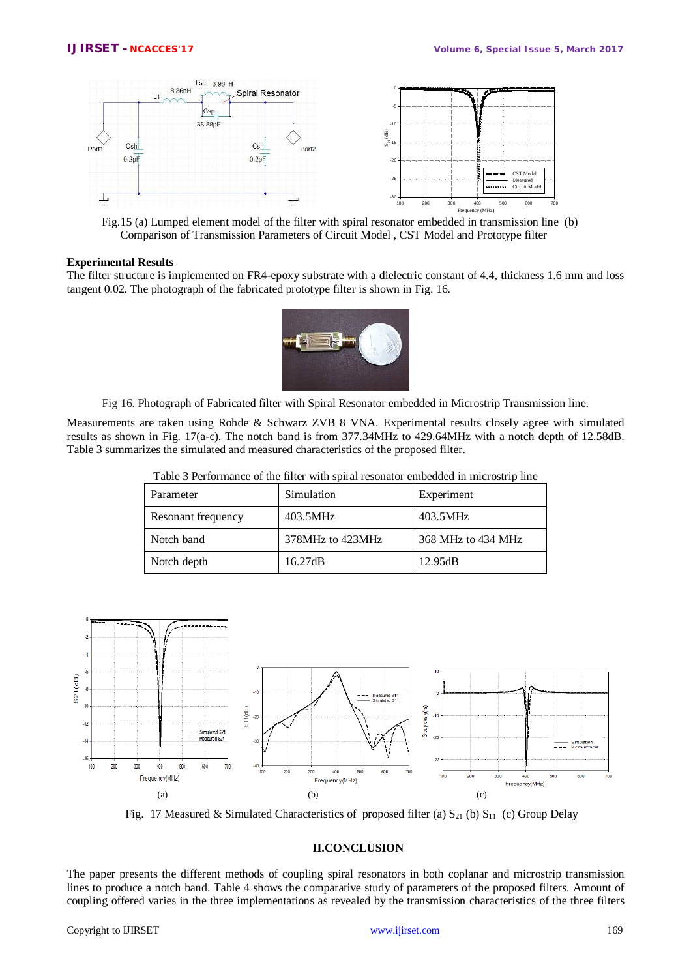

Fig.15 (a) Lumped element model of the filter with spiral resonator embedded in transmission line (b) Comparison of Transmission Parameters of Circuit Model , CST Model and Prototype filter

#### **Experimental Results**

The filter structure is implemented on FR4-epoxy substrate with a dielectric constant of 4.4, thickness 1.6 mm and loss tangent 0.02. The photograph of the fabricated prototype filter is shown in Fig. 16.



Fig 16. Photograph of Fabricated filter with Spiral Resonator embedded in Microstrip Transmission line.

Measurements are taken using Rohde & Schwarz ZVB 8 VNA. Experimental results closely agree with simulated results as shown in Fig. 17(a-c). The notch band is from 377.34MHz to 429.64MHz with a notch depth of 12.58dB. Table 3 summarizes the simulated and measured characteristics of the proposed filter.

| Parameter          | Simulation       | Experiment         |
|--------------------|------------------|--------------------|
| Resonant frequency | 403.5MHz         | 403.5MHz           |
| Notch band         | 378MHz to 423MHz | 368 MHz to 434 MHz |
| Notch depth        | 16.27dB          | 12.95dB            |

Table 3 Performance of the filter with spiral resonator embedded in microstrip line



Fig. 17 Measured & Simulated Characteristics of proposed filter (a)  $S_{21}$  (b)  $S_{11}$  (c) Group Delay

# **II.CONCLUSION**

The paper presents the different methods of coupling spiral resonators in both coplanar and microstrip transmission lines to produce a notch band. Table 4 shows the comparative study of parameters of the proposed filters. Amount of coupling offered varies in the three implementations as revealed by the transmission characteristics of the three filters